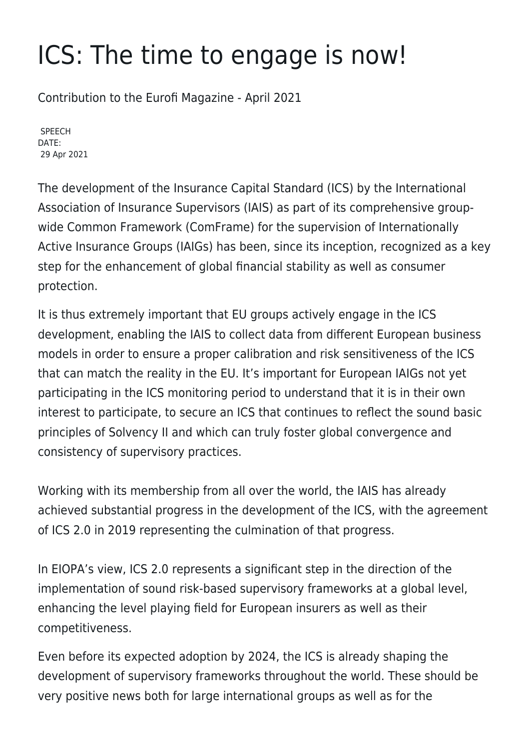## ICS: The time to engage is now!

Contribution to the Eurofi Magazine - April 2021

SPEECH DATE: 29 Apr 2021

The development of the Insurance Capital Standard (ICS) by the International Association of Insurance Supervisors (IAIS) as part of its comprehensive groupwide Common Framework (ComFrame) for the supervision of Internationally Active Insurance Groups (IAIGs) has been, since its inception, recognized as a key step for the enhancement of global financial stability as well as consumer protection.

It is thus extremely important that EU groups actively engage in the ICS development, enabling the IAIS to collect data from different European business models in order to ensure a proper calibration and risk sensitiveness of the ICS that can match the reality in the EU. It's important for European IAIGs not yet participating in the ICS monitoring period to understand that it is in their own interest to participate, to secure an ICS that continues to reflect the sound basic principles of Solvency II and which can truly foster global convergence and consistency of supervisory practices.

Working with its membership from all over the world, the IAIS has already achieved substantial progress in the development of the ICS, with the agreement of ICS 2.0 in 2019 representing the culmination of that progress.

In EIOPA's view, ICS 2.0 represents a significant step in the direction of the implementation of sound risk-based supervisory frameworks at a global level, enhancing the level playing field for European insurers as well as their competitiveness.

Even before its expected adoption by 2024, the ICS is already shaping the development of supervisory frameworks throughout the world. These should be very positive news both for large international groups as well as for the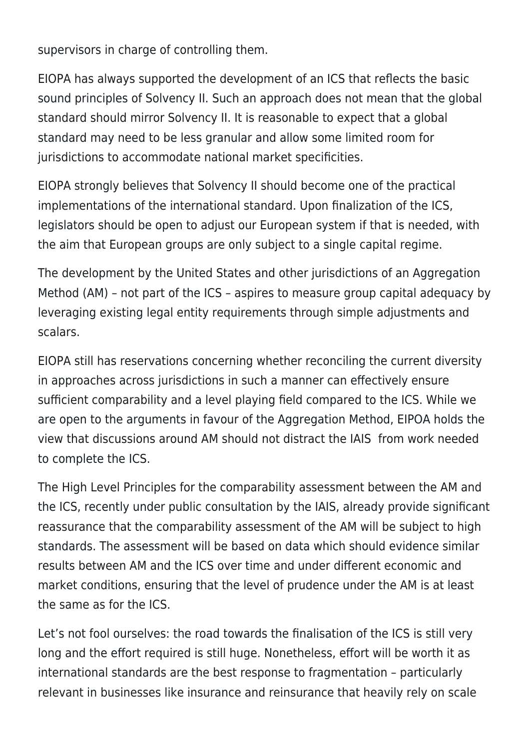supervisors in charge of controlling them.

EIOPA has always supported the development of an ICS that reflects the basic sound principles of Solvency II. Such an approach does not mean that the global standard should mirror Solvency II. It is reasonable to expect that a global standard may need to be less granular and allow some limited room for jurisdictions to accommodate national market specificities.

EIOPA strongly believes that Solvency II should become one of the practical implementations of the international standard. Upon finalization of the ICS, legislators should be open to adjust our European system if that is needed, with the aim that European groups are only subject to a single capital regime.

The development by the United States and other jurisdictions of an Aggregation Method (AM) – not part of the ICS – aspires to measure group capital adequacy by leveraging existing legal entity requirements through simple adjustments and scalars.

EIOPA still has reservations concerning whether reconciling the current diversity in approaches across jurisdictions in such a manner can effectively ensure sufficient comparability and a level playing field compared to the ICS. While we are open to the arguments in favour of the Aggregation Method, EIPOA holds the view that discussions around AM should not distract the IAIS from work needed to complete the ICS.

The High Level Principles for the comparability assessment between the AM and the ICS, recently under public consultation by the IAIS, already provide significant reassurance that the comparability assessment of the AM will be subject to high standards. The assessment will be based on data which should evidence similar results between AM and the ICS over time and under different economic and market conditions, ensuring that the level of prudence under the AM is at least the same as for the ICS.

Let's not fool ourselves: the road towards the finalisation of the ICS is still very long and the effort required is still huge. Nonetheless, effort will be worth it as international standards are the best response to fragmentation – particularly relevant in businesses like insurance and reinsurance that heavily rely on scale